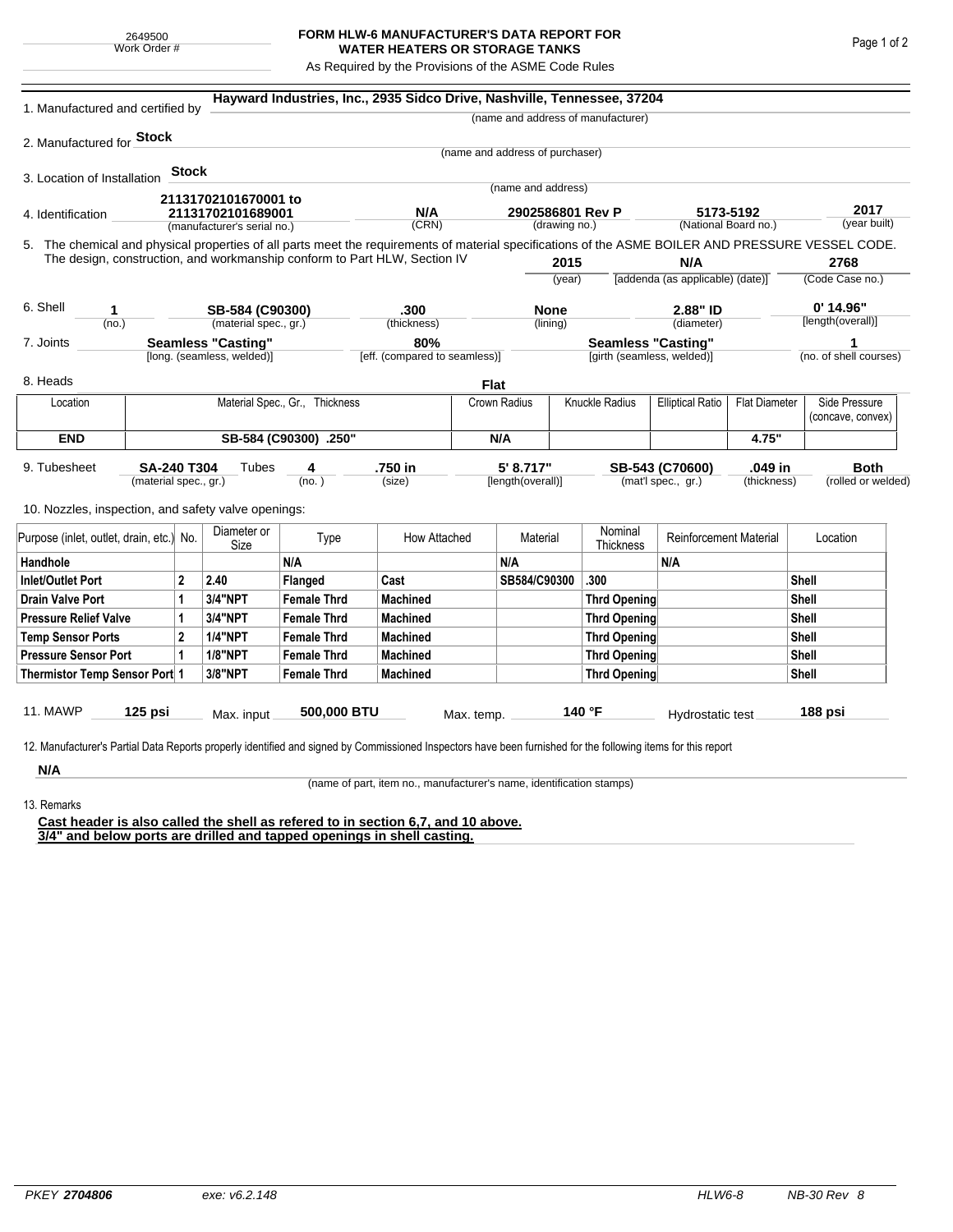## **FORM HLW-6 MANUFACTURER'S DATA REPORT FOR WATER HEATERS OR STORAGE TANKS**

As Required by the Provisions of the ASME Code Rules

| 1. Manufactured and certified by                                                                                                                                     |                                                      |                     |                    | Hayward Industries, Inc., 2935 Sidco Drive, Nashville, Tennessee, 37204 |                            |                                   |              |                                                                 |                                   |                      |                                   |                                    |
|----------------------------------------------------------------------------------------------------------------------------------------------------------------------|------------------------------------------------------|---------------------|--------------------|-------------------------------------------------------------------------|----------------------------|-----------------------------------|--------------|-----------------------------------------------------------------|-----------------------------------|----------------------|-----------------------------------|------------------------------------|
|                                                                                                                                                                      |                                                      |                     |                    |                                                                         |                            |                                   |              | (name and address of manufacturer)                              |                                   |                      |                                   |                                    |
| 2. Manufactured for <b>Stock</b>                                                                                                                                     |                                                      |                     |                    |                                                                         |                            |                                   |              |                                                                 |                                   |                      |                                   |                                    |
|                                                                                                                                                                      |                                                      |                     |                    |                                                                         |                            | (name and address of purchaser)   |              |                                                                 |                                   |                      |                                   |                                    |
| 3. Location of Installation                                                                                                                                          | Stock                                                |                     |                    |                                                                         |                            | (name and address)                |              |                                                                 |                                   |                      |                                   |                                    |
| 21131702101670001 to                                                                                                                                                 |                                                      |                     |                    |                                                                         |                            |                                   |              |                                                                 |                                   |                      |                                   |                                    |
| 21131702101689001<br>4. Identification<br>(manufacturer's serial no.)                                                                                                |                                                      |                     |                    | N/A<br>(CRN)                                                            |                            | 2902586801 Rev P<br>(drawing no.) |              |                                                                 | 5173-5192<br>(National Board no.) |                      | 2017<br>(year built)              |                                    |
| 5. The chemical and physical properties of all parts meet the requirements of material specifications of the ASME BOILER AND PRESSURE VESSEL CODE.                   |                                                      |                     |                    |                                                                         |                            |                                   |              |                                                                 |                                   |                      |                                   |                                    |
| The design, construction, and workmanship conform to Part HLW, Section IV                                                                                            |                                                      | 2015                |                    |                                                                         | N/A                        |                                   |              | 2768                                                            |                                   |                      |                                   |                                    |
|                                                                                                                                                                      |                                                      |                     |                    |                                                                         |                            | (year)                            |              | [addenda (as applicable) (date)]                                |                                   |                      | (Code Case no.)                   |                                    |
| 6. Shell<br>1                                                                                                                                                        | SB-584 (C90300)                                      |                     |                    |                                                                         |                            | <b>None</b>                       |              |                                                                 | 2.88" ID                          |                      | $0'$ 14.96"                       |                                    |
| (no.)                                                                                                                                                                | (material spec., gr.)                                |                     |                    | .300<br>(thickness)                                                     |                            | (lining)                          |              | (diameter)                                                      |                                   | [length(overall)]    |                                   |                                    |
| 7. Joints                                                                                                                                                            | <b>Seamless "Casting"</b>                            |                     |                    | 80%                                                                     |                            |                                   |              | <b>Seamless "Casting"</b>                                       |                                   | 1                    |                                   |                                    |
| [long. (seamless, welded)]                                                                                                                                           |                                                      |                     |                    | [eff. (compared to seamless)]                                           | [girth (seamless, welded)] |                                   |              |                                                                 |                                   |                      | (no. of shell courses)            |                                    |
| 8. Heads                                                                                                                                                             |                                                      |                     |                    |                                                                         | <b>Flat</b>                |                                   |              |                                                                 |                                   |                      |                                   |                                    |
| Location                                                                                                                                                             | Material Spec., Gr., Thickness                       |                     |                    |                                                                         |                            | Crown Radius                      |              | Knuckle Radius                                                  | <b>Elliptical Ratio</b>           | <b>Flat Diameter</b> |                                   | Side Pressure<br>(concave, convex) |
| <b>END</b>                                                                                                                                                           | SB-584 (C90300) .250"                                |                     |                    |                                                                         |                            | N/A                               |              |                                                                 | 4.75"                             |                      |                                   |                                    |
| 9. Tubesheet                                                                                                                                                         | <b>SA-240 T304</b><br>Tubes<br>(material spec., gr.) | 4<br>(no.)          | .750 in<br>(size)  |                                                                         |                            | 5' 8.717"<br>[length(overall)]    |              | .049 in<br>SB-543 (C70600)<br>(mat'l spec., gr.)<br>(thickness) |                                   |                      | <b>Both</b><br>(rolled or welded) |                                    |
| 10. Nozzles, inspection, and safety valve openings:                                                                                                                  |                                                      |                     |                    |                                                                         |                            |                                   |              |                                                                 |                                   |                      |                                   |                                    |
| Purpose (inlet, outlet, drain, etc.) No.                                                                                                                             |                                                      | Diameter or<br>Size | Type               | How Attached                                                            |                            | Material                          |              | Nominal<br>Thickness                                            | <b>Reinforcement Material</b>     |                      | Location                          |                                    |
| Handhole                                                                                                                                                             |                                                      | N/A                 |                    |                                                                         | N/A                        |                                   |              | N/A                                                             |                                   |                      |                                   |                                    |
| 2<br>Inlet/Outlet Port                                                                                                                                               |                                                      | 2.40                | Flanged            | Cast                                                                    |                            | SB584/C90300                      |              | .300                                                            |                                   | <b>Shell</b>         |                                   |                                    |
| 1<br>Drain Valve Port                                                                                                                                                |                                                      | 3/4"NPT             | <b>Female Thrd</b> | <b>Machined</b>                                                         |                            |                                   |              | Thrd Opening                                                    |                                   | Shell                |                                   |                                    |
| <b>Pressure Relief Valve</b><br>1                                                                                                                                    |                                                      | 3/4"NPT             | <b>Female Thrd</b> | <b>Machined</b>                                                         |                            |                                   |              | Thrd Opening                                                    |                                   |                      | Shell                             |                                    |
| <b>Temp Sensor Ports</b>                                                                                                                                             | <b>1/4"NPT</b>                                       | <b>Female Thrd</b>  | <b>Machined</b>    |                                                                         |                            |                                   | Thrd Opening |                                                                 |                                   | Shell                |                                   |                                    |
| <b>Pressure Sensor Port</b>                                                                                                                                          | <b>1/8"NPT</b>                                       | <b>Female Thrd</b>  | <b>Machined</b>    |                                                                         |                            |                                   | Thrd Opening |                                                                 | Shell                             |                      |                                   |                                    |
| Thermistor Temp Sensor Port 1                                                                                                                                        | 3/8"NPT                                              | <b>Female Thrd</b>  | <b>Machined</b>    |                                                                         |                            |                                   | Thrd Opening |                                                                 | Shell                             |                      |                                   |                                    |
| 11. MAWP<br>$125$ psi                                                                                                                                                |                                                      | Max. input          | 500,000 BTU        |                                                                         | Max. temp.                 |                                   |              | 140 °F                                                          | Hydrostatic test                  |                      | 188 psi                           |                                    |
| 12. Manufacturer's Partial Data Reports properly identified and signed by Commissioned Inspectors have been furnished for the following items for this report<br>N/A |                                                      |                     |                    |                                                                         |                            |                                   |              |                                                                 |                                   |                      |                                   |                                    |

(name of part, item no., manufacturer's name, identification stamps)

13. Remarks

**Cast header is also called the shell as refered to in section 6,7, and 10 above. 3/4" and below ports are drilled and tapped openings in shell casting.**